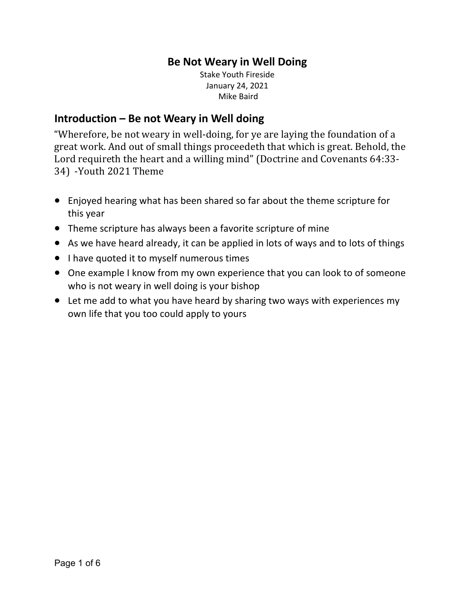# **Be Not Weary in Well Doing**

Stake Youth Fireside January 24, 2021 Mike Baird

# **Introduction – Be not Weary in Well doing**

"Wherefore, be not weary in well-doing, for ye are laying the foundation of a great work. And out of small things proceedeth that which is great. Behold, the Lord requireth the heart and a willing mind" (Doctrine and Covenants 64:33-34) -Youth 2021 Theme

- Enjoyed hearing what has been shared so far about the theme scripture for this year
- Theme scripture has always been a favorite scripture of mine
- As we have heard already, it can be applied in lots of ways and to lots of things
- I have quoted it to myself numerous times
- One example I know from my own experience that you can look to of someone who is not weary in well doing is your bishop
- Let me add to what you have heard by sharing two ways with experiences my own life that you too could apply to yours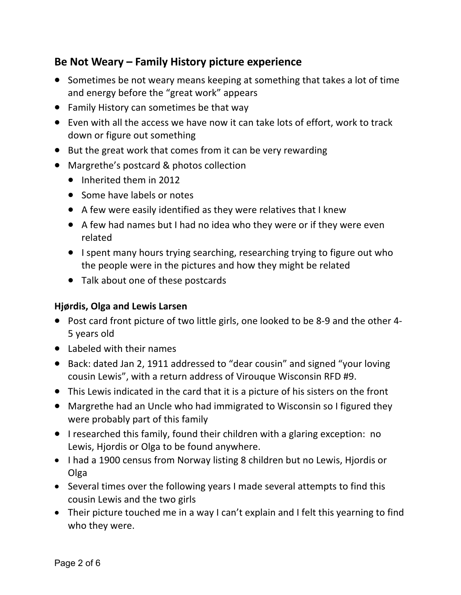# **Be Not Weary – Family History picture experience**

- Sometimes be not weary means keeping at something that takes a lot of time and energy before the "great work" appears
- Family History can sometimes be that way
- Even with all the access we have now it can take lots of effort, work to track down or figure out something
- But the great work that comes from it can be very rewarding
- Margrethe's postcard & photos collection
	- Inherited them in 2012
	- Some have labels or notes
	- A few were easily identified as they were relatives that I knew
	- A few had names but I had no idea who they were or if they were even related
	- I spent many hours trying searching, researching trying to figure out who the people were in the pictures and how they might be related
	- Talk about one of these postcards

### **Hjørdis, Olga and Lewis Larsen**

- Post card front picture of two little girls, one looked to be 8-9 and the other 4- 5 years old
- Labeled with their names
- Back: dated Jan 2, 1911 addressed to "dear cousin" and signed "your loving cousin Lewis", with a return address of Virouque Wisconsin RFD #9.
- This Lewis indicated in the card that it is a picture of his sisters on the front
- Margrethe had an Uncle who had immigrated to Wisconsin so I figured they were probably part of this family
- I researched this family, found their children with a glaring exception: no Lewis, Hjordis or Olga to be found anywhere.
- I had a 1900 census from Norway listing 8 children but no Lewis, Hjordis or Olga
- Several times over the following years I made several attempts to find this cousin Lewis and the two girls
- Their picture touched me in a way I can't explain and I felt this yearning to find who they were.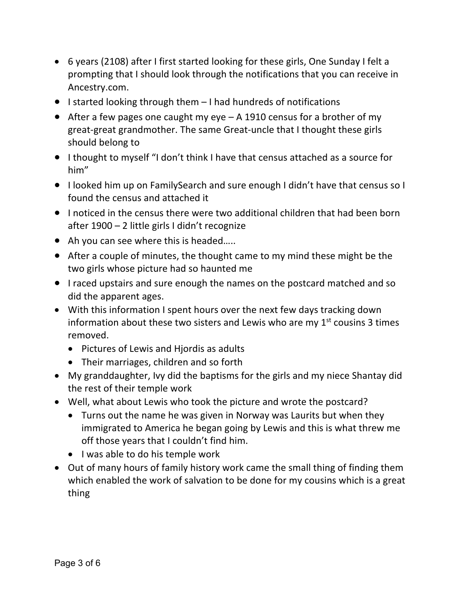- 6 years (2108) after I first started looking for these girls, One Sunday I felt a prompting that I should look through the notifications that you can receive in Ancestry.com.
- I started looking through them I had hundreds of notifications
- After a few pages one caught my eye A 1910 census for a brother of my great-great grandmother. The same Great-uncle that I thought these girls should belong to
- I thought to myself "I don't think I have that census attached as a source for him"
- I looked him up on FamilySearch and sure enough I didn't have that census so I found the census and attached it
- I noticed in the census there were two additional children that had been born after 1900 – 2 little girls I didn't recognize
- Ah you can see where this is headed.....
- After a couple of minutes, the thought came to my mind these might be the two girls whose picture had so haunted me
- I raced upstairs and sure enough the names on the postcard matched and so did the apparent ages.
- With this information I spent hours over the next few days tracking down information about these two sisters and Lewis who are my  $1<sup>st</sup>$  cousins 3 times removed.
	- Pictures of Lewis and Hjordis as adults
	- Their marriages, children and so forth
- My granddaughter, Ivy did the baptisms for the girls and my niece Shantay did the rest of their temple work
- Well, what about Lewis who took the picture and wrote the postcard?
	- Turns out the name he was given in Norway was Laurits but when they immigrated to America he began going by Lewis and this is what threw me off those years that I couldn't find him.
	- I was able to do his temple work
- Out of many hours of family history work came the small thing of finding them which enabled the work of salvation to be done for my cousins which is a great thing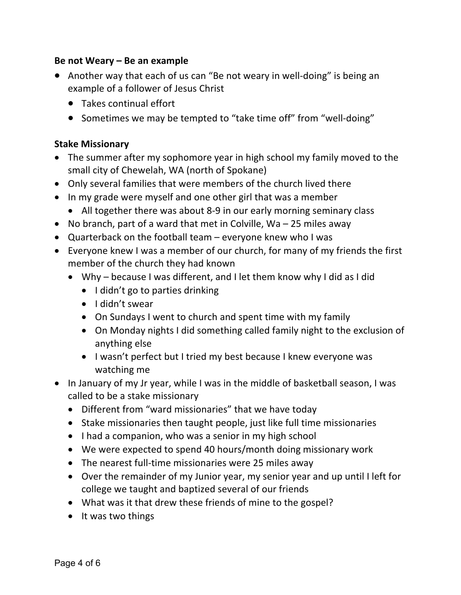#### **Be not Weary – Be an example**

- Another way that each of us can "Be not weary in well-doing" is being an example of a follower of Jesus Christ
	- Takes continual effort
	- Sometimes we may be tempted to "take time off" from "well-doing"

#### **Stake Missionary**

- The summer after my sophomore year in high school my family moved to the small city of Chewelah, WA (north of Spokane)
- Only several families that were members of the church lived there
- In my grade were myself and one other girl that was a member
	- All together there was about 8-9 in our early morning seminary class
- No branch, part of a ward that met in Colville, Wa 25 miles away
- Quarterback on the football team everyone knew who I was
- Everyone knew I was a member of our church, for many of my friends the first member of the church they had known
	- Why because I was different, and I let them know why I did as I did
		- I didn't go to parties drinking
		- I didn't swear
		- On Sundays I went to church and spent time with my family
		- On Monday nights I did something called family night to the exclusion of anything else
		- I wasn't perfect but I tried my best because I knew everyone was watching me
- In January of my Jr year, while I was in the middle of basketball season, I was called to be a stake missionary
	- Different from "ward missionaries" that we have today
	- Stake missionaries then taught people, just like full time missionaries
	- I had a companion, who was a senior in my high school
	- We were expected to spend 40 hours/month doing missionary work
	- The nearest full-time missionaries were 25 miles away
	- Over the remainder of my Junior year, my senior year and up until I left for college we taught and baptized several of our friends
	- What was it that drew these friends of mine to the gospel?
	- It was two things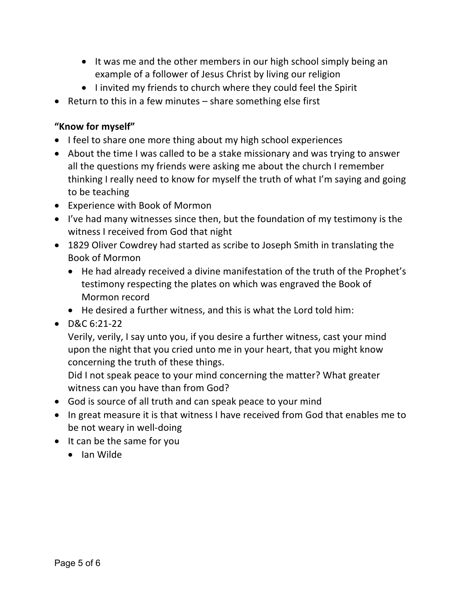- It was me and the other members in our high school simply being an example of a follower of Jesus Christ by living our religion
- I invited my friends to church where they could feel the Spirit
- Return to this in a few minutes share something else first

# **"Know for myself"**

- I feel to share one more thing about my high school experiences
- About the time I was called to be a stake missionary and was trying to answer all the questions my friends were asking me about the church I remember thinking I really need to know for myself the truth of what I'm saying and going to be teaching
- Experience with Book of Mormon
- I've had many witnesses since then, but the foundation of my testimony is the witness I received from God that night
- 1829 Oliver Cowdrey had started as scribe to Joseph Smith in translating the Book of Mormon
	- He had already received a divine manifestation of the truth of the Prophet's testimony respecting the plates on which was engraved the Book of Mormon record
	- He desired a further witness, and this is what the Lord told him:
- $\bullet$  D&C 6:21-22

Verily, verily, I say unto you, if you desire a further witness, cast your mind upon the night that you cried unto me in your heart, that you might know concerning the truth of these things.

Did I not speak peace to your mind concerning the matter? What greater witness can you have than from God?

- God is source of all truth and can speak peace to your mind
- In great measure it is that witness I have received from God that enables me to be not weary in well-doing
- It can be the same for you
	- Ian Wilde